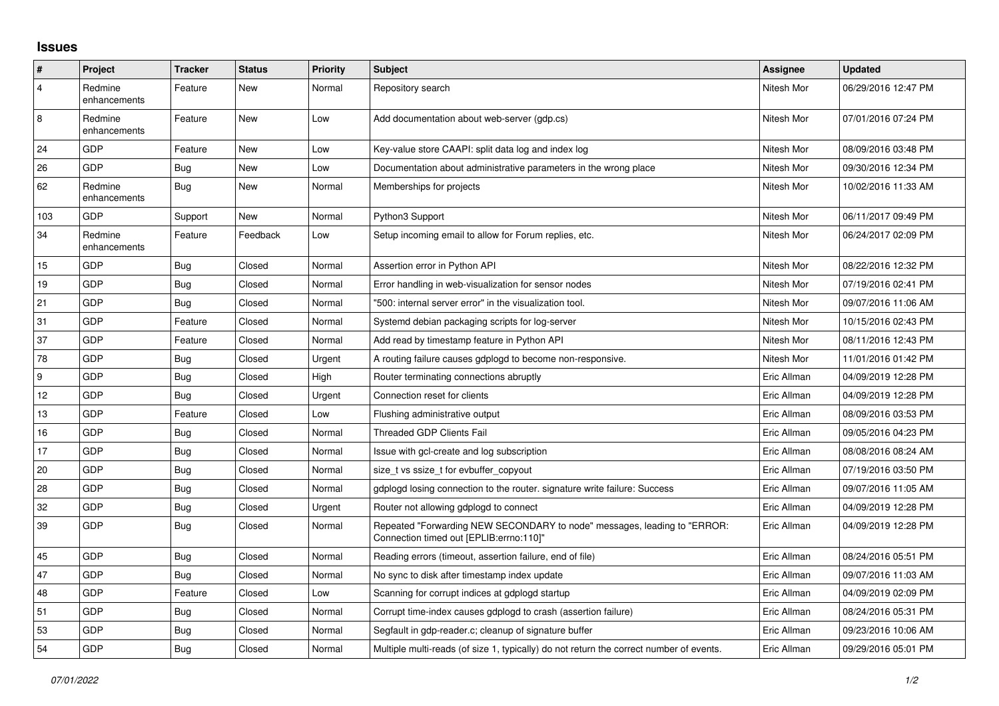## **Issues**

| $\vert$ #      | Project                 | <b>Tracker</b> | <b>Status</b> | <b>Priority</b> | <b>Subject</b>                                                                                                      | Assignee    | <b>Updated</b>      |
|----------------|-------------------------|----------------|---------------|-----------------|---------------------------------------------------------------------------------------------------------------------|-------------|---------------------|
| $\overline{4}$ | Redmine<br>enhancements | Feature        | New           | Normal          | Repository search                                                                                                   | Nitesh Mor  | 06/29/2016 12:47 PM |
| 8              | Redmine<br>enhancements | Feature        | <b>New</b>    | Low             | Add documentation about web-server (gdp.cs)                                                                         | Nitesh Mor  | 07/01/2016 07:24 PM |
| 24             | <b>GDP</b>              | Feature        | New           | Low             | Key-value store CAAPI: split data log and index log                                                                 | Nitesh Mor  | 08/09/2016 03:48 PM |
| 26             | GDP                     | Bug            | New           | Low             | Documentation about administrative parameters in the wrong place                                                    | Nitesh Mor  | 09/30/2016 12:34 PM |
| 62             | Redmine<br>enhancements | <b>Bug</b>     | <b>New</b>    | Normal          | Memberships for projects                                                                                            | Nitesh Mor  | 10/02/2016 11:33 AM |
| 103            | <b>GDP</b>              | Support        | New           | Normal          | Python3 Support                                                                                                     | Nitesh Mor  | 06/11/2017 09:49 PM |
| 34             | Redmine<br>enhancements | Feature        | Feedback      | Low             | Setup incoming email to allow for Forum replies, etc.                                                               | Nitesh Mor  | 06/24/2017 02:09 PM |
| 15             | GDP                     | <b>Bug</b>     | Closed        | Normal          | Assertion error in Python API                                                                                       | Nitesh Mor  | 08/22/2016 12:32 PM |
| 19             | GDP                     | <b>Bug</b>     | Closed        | Normal          | Error handling in web-visualization for sensor nodes                                                                | Nitesh Mor  | 07/19/2016 02:41 PM |
| 21             | GDP                     | Bug            | Closed        | Normal          | "500: internal server error" in the visualization tool.                                                             | Nitesh Mor  | 09/07/2016 11:06 AM |
| 31             | GDP                     | Feature        | Closed        | Normal          | Systemd debian packaging scripts for log-server                                                                     | Nitesh Mor  | 10/15/2016 02:43 PM |
| 37             | GDP                     | Feature        | Closed        | Normal          | Add read by timestamp feature in Python API                                                                         | Nitesh Mor  | 08/11/2016 12:43 PM |
| 78             | GDP                     | <b>Bug</b>     | Closed        | Urgent          | A routing failure causes gdplogd to become non-responsive.                                                          | Nitesh Mor  | 11/01/2016 01:42 PM |
| 9              | GDP                     | Bug            | Closed        | High            | Router terminating connections abruptly                                                                             | Eric Allman | 04/09/2019 12:28 PM |
| 12             | GDP                     | Bug            | Closed        | Urgent          | Connection reset for clients                                                                                        | Eric Allman | 04/09/2019 12:28 PM |
| 13             | GDP                     | Feature        | Closed        | Low             | Flushing administrative output                                                                                      | Eric Allman | 08/09/2016 03:53 PM |
| 16             | GDP                     | Bug            | Closed        | Normal          | <b>Threaded GDP Clients Fail</b>                                                                                    | Eric Allman | 09/05/2016 04:23 PM |
| 17             | GDP                     | Bug            | Closed        | Normal          | Issue with gcl-create and log subscription                                                                          | Eric Allman | 08/08/2016 08:24 AM |
| 20             | <b>GDP</b>              | <b>Bug</b>     | Closed        | Normal          | size t vs ssize t for evbuffer copyout                                                                              | Eric Allman | 07/19/2016 03:50 PM |
| 28             | GDP                     | Bug            | Closed        | Normal          | gdplogd losing connection to the router. signature write failure: Success                                           | Eric Allman | 09/07/2016 11:05 AM |
| 32             | GDP                     | <b>Bug</b>     | Closed        | Urgent          | Router not allowing gdplogd to connect                                                                              | Eric Allman | 04/09/2019 12:28 PM |
| 39             | GDP                     | Bug            | Closed        | Normal          | Repeated "Forwarding NEW SECONDARY to node" messages, leading to "ERROR:<br>Connection timed out [EPLIB:errno:110]" | Eric Allman | 04/09/2019 12:28 PM |
| 45             | GDP                     | Bug            | Closed        | Normal          | Reading errors (timeout, assertion failure, end of file)                                                            | Eric Allman | 08/24/2016 05:51 PM |
| 47             | GDP                     | <b>Bug</b>     | Closed        | Normal          | No sync to disk after timestamp index update                                                                        | Eric Allman | 09/07/2016 11:03 AM |
| 48             | GDP                     | Feature        | Closed        | Low             | Scanning for corrupt indices at gdplogd startup                                                                     | Eric Allman | 04/09/2019 02:09 PM |
| 51             | <b>GDP</b>              | Bug            | Closed        | Normal          | Corrupt time-index causes gdplogd to crash (assertion failure)                                                      | Eric Allman | 08/24/2016 05:31 PM |
| 53             | <b>GDP</b>              | Bug            | Closed        | Normal          | Segfault in gdp-reader.c; cleanup of signature buffer                                                               | Eric Allman | 09/23/2016 10:06 AM |
| 54             | GDP                     | <b>Bug</b>     | Closed        | Normal          | Multiple multi-reads (of size 1, typically) do not return the correct number of events.                             | Eric Allman | 09/29/2016 05:01 PM |